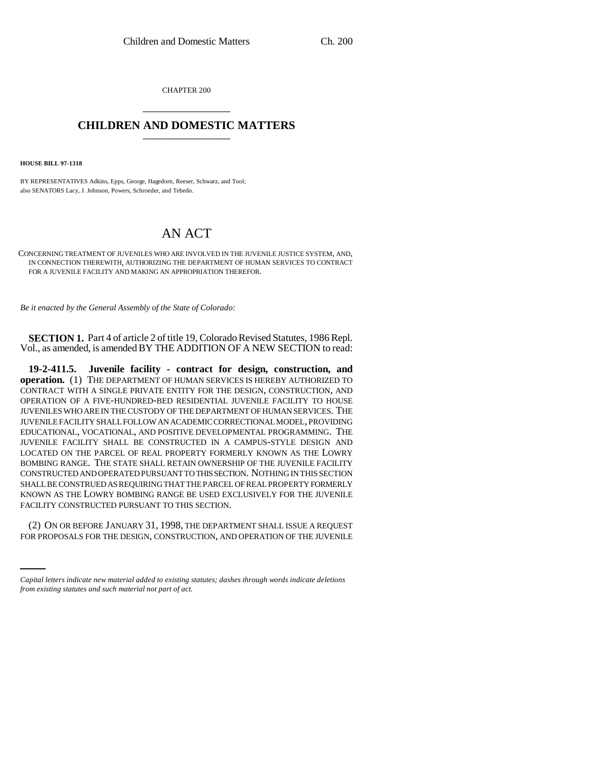CHAPTER 200 \_\_\_\_\_\_\_\_\_\_\_\_\_\_\_

## **CHILDREN AND DOMESTIC MATTERS** \_\_\_\_\_\_\_\_\_\_\_\_\_\_\_

**HOUSE BILL 97-1318**

BY REPRESENTATIVES Adkins, Epps, George, Hagedorn, Reeser, Schwarz, and Tool; also SENATORS Lacy, J. Johnson, Powers, Schroeder, and Tebedo.

## AN ACT

CONCERNING TREATMENT OF JUVENILES WHO ARE INVOLVED IN THE JUVENILE JUSTICE SYSTEM, AND, IN CONNECTION THEREWITH, AUTHORIZING THE DEPARTMENT OF HUMAN SERVICES TO CONTRACT FOR A JUVENILE FACILITY AND MAKING AN APPROPRIATION THEREFOR.

*Be it enacted by the General Assembly of the State of Colorado:*

**SECTION 1.** Part 4 of article 2 of title 19, Colorado Revised Statutes, 1986 Repl. Vol., as amended, is amended BY THE ADDITION OF A NEW SECTION to read:

**19-2-411.5. Juvenile facility - contract for design, construction, and operation.** (1) THE DEPARTMENT OF HUMAN SERVICES IS HEREBY AUTHORIZED TO CONTRACT WITH A SINGLE PRIVATE ENTITY FOR THE DESIGN, CONSTRUCTION, AND OPERATION OF A FIVE-HUNDRED-BED RESIDENTIAL JUVENILE FACILITY TO HOUSE JUVENILES WHO ARE IN THE CUSTODY OF THE DEPARTMENT OF HUMAN SERVICES. THE JUVENILE FACILITY SHALL FOLLOW AN ACADEMIC CORRECTIONAL MODEL, PROVIDING EDUCATIONAL, VOCATIONAL, AND POSITIVE DEVELOPMENTAL PROGRAMMING. THE JUVENILE FACILITY SHALL BE CONSTRUCTED IN A CAMPUS-STYLE DESIGN AND LOCATED ON THE PARCEL OF REAL PROPERTY FORMERLY KNOWN AS THE LOWRY BOMBING RANGE. THE STATE SHALL RETAIN OWNERSHIP OF THE JUVENILE FACILITY CONSTRUCTED AND OPERATED PURSUANT TO THIS SECTION. NOTHING IN THIS SECTION SHALL BE CONSTRUED AS REQUIRING THAT THE PARCEL OF REAL PROPERTY FORMERLY KNOWN AS THE LOWRY BOMBING RANGE BE USED EXCLUSIVELY FOR THE JUVENILE FACILITY CONSTRUCTED PURSUANT TO THIS SECTION.

(2) ON OR BEFORE JANUARY 31, 1998, THE DEPARTMENT SHALL ISSUE A REQUEST FOR PROPOSALS FOR THE DESIGN, CONSTRUCTION, AND OPERATION OF THE JUVENILE

*Capital letters indicate new material added to existing statutes; dashes through words indicate deletions from existing statutes and such material not part of act.*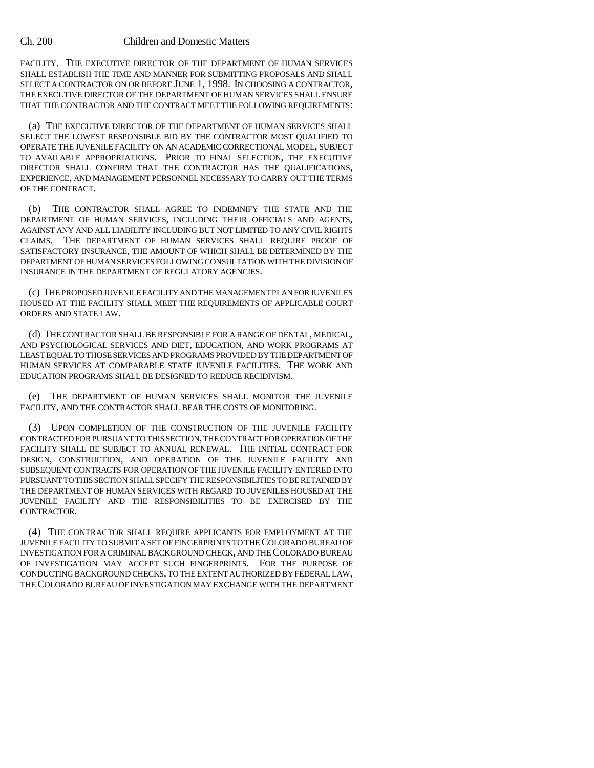## Ch. 200 Children and Domestic Matters

FACILITY. THE EXECUTIVE DIRECTOR OF THE DEPARTMENT OF HUMAN SERVICES SHALL ESTABLISH THE TIME AND MANNER FOR SUBMITTING PROPOSALS AND SHALL SELECT A CONTRACTOR ON OR BEFORE JUNE 1, 1998. IN CHOOSING A CONTRACTOR, THE EXECUTIVE DIRECTOR OF THE DEPARTMENT OF HUMAN SERVICES SHALL ENSURE THAT THE CONTRACTOR AND THE CONTRACT MEET THE FOLLOWING REQUIREMENTS:

(a) THE EXECUTIVE DIRECTOR OF THE DEPARTMENT OF HUMAN SERVICES SHALL SELECT THE LOWEST RESPONSIBLE BID BY THE CONTRACTOR MOST QUALIFIED TO OPERATE THE JUVENILE FACILITY ON AN ACADEMIC CORRECTIONAL MODEL, SUBJECT TO AVAILABLE APPROPRIATIONS. PRIOR TO FINAL SELECTION, THE EXECUTIVE DIRECTOR SHALL CONFIRM THAT THE CONTRACTOR HAS THE QUALIFICATIONS, EXPERIENCE, AND MANAGEMENT PERSONNEL NECESSARY TO CARRY OUT THE TERMS OF THE CONTRACT.

(b) THE CONTRACTOR SHALL AGREE TO INDEMNIFY THE STATE AND THE DEPARTMENT OF HUMAN SERVICES, INCLUDING THEIR OFFICIALS AND AGENTS, AGAINST ANY AND ALL LIABILITY INCLUDING BUT NOT LIMITED TO ANY CIVIL RIGHTS CLAIMS. THE DEPARTMENT OF HUMAN SERVICES SHALL REQUIRE PROOF OF SATISFACTORY INSURANCE, THE AMOUNT OF WHICH SHALL BE DETERMINED BY THE DEPARTMENT OF HUMAN SERVICES FOLLOWING CONSULTATION WITH THE DIVISION OF INSURANCE IN THE DEPARTMENT OF REGULATORY AGENCIES.

(c) THE PROPOSED JUVENILE FACILITY AND THE MANAGEMENT PLAN FOR JUVENILES HOUSED AT THE FACILITY SHALL MEET THE REQUIREMENTS OF APPLICABLE COURT ORDERS AND STATE LAW.

(d) THE CONTRACTOR SHALL BE RESPONSIBLE FOR A RANGE OF DENTAL, MEDICAL, AND PSYCHOLOGICAL SERVICES AND DIET, EDUCATION, AND WORK PROGRAMS AT LEAST EQUAL TO THOSE SERVICES AND PROGRAMS PROVIDED BY THE DEPARTMENT OF HUMAN SERVICES AT COMPARABLE STATE JUVENILE FACILITIES. THE WORK AND EDUCATION PROGRAMS SHALL BE DESIGNED TO REDUCE RECIDIVISM.

(e) THE DEPARTMENT OF HUMAN SERVICES SHALL MONITOR THE JUVENILE FACILITY, AND THE CONTRACTOR SHALL BEAR THE COSTS OF MONITORING.

(3) UPON COMPLETION OF THE CONSTRUCTION OF THE JUVENILE FACILITY CONTRACTED FOR PURSUANT TO THIS SECTION, THE CONTRACT FOR OPERATION OF THE FACILITY SHALL BE SUBJECT TO ANNUAL RENEWAL. THE INITIAL CONTRACT FOR DESIGN, CONSTRUCTION, AND OPERATION OF THE JUVENILE FACILITY AND SUBSEQUENT CONTRACTS FOR OPERATION OF THE JUVENILE FACILITY ENTERED INTO PURSUANT TO THIS SECTION SHALL SPECIFY THE RESPONSIBILITIES TO BE RETAINED BY THE DEPARTMENT OF HUMAN SERVICES WITH REGARD TO JUVENILES HOUSED AT THE JUVENILE FACILITY AND THE RESPONSIBILITIES TO BE EXERCISED BY THE CONTRACTOR.

(4) THE CONTRACTOR SHALL REQUIRE APPLICANTS FOR EMPLOYMENT AT THE JUVENILE FACILITY TO SUBMIT A SET OF FINGERPRINTS TO THE COLORADO BUREAU OF INVESTIGATION FOR A CRIMINAL BACKGROUND CHECK, AND THE COLORADO BUREAU OF INVESTIGATION MAY ACCEPT SUCH FINGERPRINTS. FOR THE PURPOSE OF CONDUCTING BACKGROUND CHECKS, TO THE EXTENT AUTHORIZED BY FEDERAL LAW, THE COLORADO BUREAU OF INVESTIGATION MAY EXCHANGE WITH THE DEPARTMENT